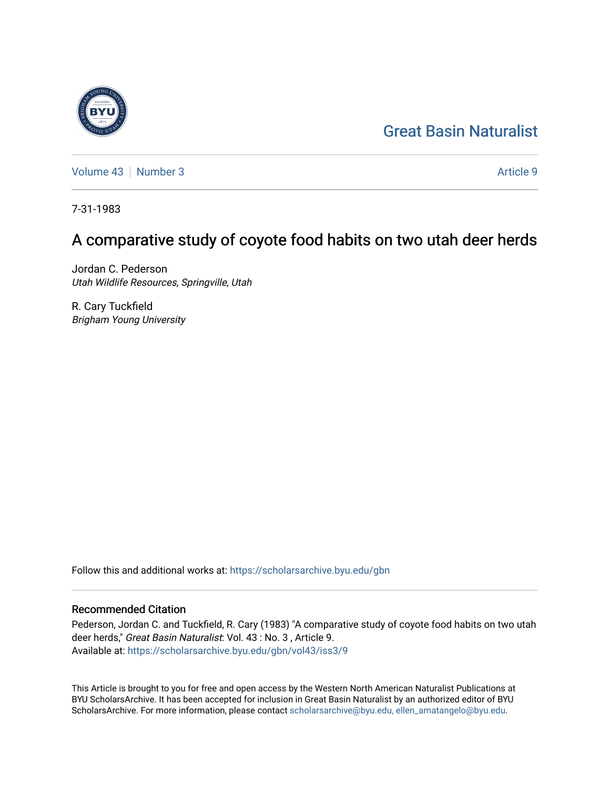# [Great Basin Naturalist](https://scholarsarchive.byu.edu/gbn)

[Volume 43](https://scholarsarchive.byu.edu/gbn/vol43) [Number 3](https://scholarsarchive.byu.edu/gbn/vol43/iss3) Article 9

7-31-1983

# A comparative study of coyote food habits on two utah deer herds

Jordan C. Pederson Utah Wildlife Resources, Springville, Utah

R. Cary Tuckfield Brigham Young University

Follow this and additional works at: [https://scholarsarchive.byu.edu/gbn](https://scholarsarchive.byu.edu/gbn?utm_source=scholarsarchive.byu.edu%2Fgbn%2Fvol43%2Fiss3%2F9&utm_medium=PDF&utm_campaign=PDFCoverPages) 

# Recommended Citation

Pederson, Jordan C. and Tuckfield, R. Cary (1983) "A comparative study of coyote food habits on two utah deer herds," Great Basin Naturalist: Vol. 43 : No. 3 , Article 9. Available at: [https://scholarsarchive.byu.edu/gbn/vol43/iss3/9](https://scholarsarchive.byu.edu/gbn/vol43/iss3/9?utm_source=scholarsarchive.byu.edu%2Fgbn%2Fvol43%2Fiss3%2F9&utm_medium=PDF&utm_campaign=PDFCoverPages)

This Article is brought to you for free and open access by the Western North American Naturalist Publications at BYU ScholarsArchive. It has been accepted for inclusion in Great Basin Naturalist by an authorized editor of BYU ScholarsArchive. For more information, please contact [scholarsarchive@byu.edu, ellen\\_amatangelo@byu.edu.](mailto:scholarsarchive@byu.edu,%20ellen_amatangelo@byu.edu)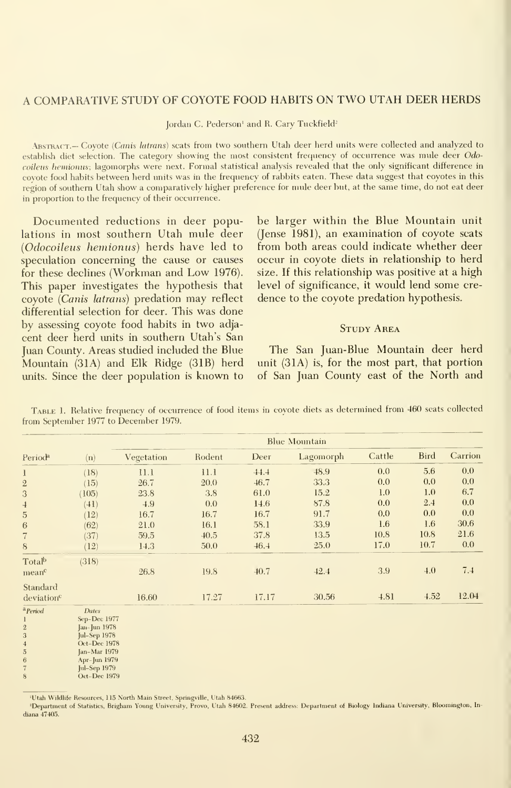### A COMPARATIVE STUDY OF COYOTE FOOD HABITS ON TWO UTAH DEER HERDS

Jordan C. Pederson<sup>1</sup> and R. Cary Tuckfield<sup>2</sup>

ABSTRACT.— Coyote (Canis latrans) scats from two southern Utah deer herd units were collected and analyzed to establish diet selection. The category showing the most consistent frequency of occurrence was mule deer Odocoileus hemionus; lagomorphs were next. Formal statistical analysis revealed that the only significant difference in coyote food habits between herd units was in the frequency of rabbits eaten. These data suggest that coyotes in this region of southern Utah show a comparatively higher preference for mule deer but, at the same time, do not eat deer in proportion to the frequency of their occurrence.

Documented reductions in deer populations in most southern Utah mule deer (Odocoileus hemionus) herds have led to speculation concerning the cause or causes for these declines (Workman and Low 1976). This paper investigates the hypothesis that coyote {Canis latrans) predation may reflect differential selection for deer. This was done by assessing coyote food habits in two adja cent deer herd units in southern Utah's San Juan County. Areas studied included the Blue Mountain (31A) and Elk Ridge (31B) herd units. Since the deer population is known to

be larger within the Blue Mountain unit (Jense 1981), an examination of coyote scats from both areas could indicate whether deer occur in coyote diets in relationship to herd size. If this relationship was positive at a high level of significance, it would lend some cre dence to the coyote predation hypothesis.

## Study Area

The San Juan-Blue Mountain deer herd unit  $(31A)$  is, for the most part, that portion of San Juan County east of the North and

| Period <sup>a</sup>                           |                                                              | <b>Blue Mountain</b> |        |       |           |        |             |         |
|-----------------------------------------------|--------------------------------------------------------------|----------------------|--------|-------|-----------|--------|-------------|---------|
|                                               | (n)                                                          | Vegetation           | Rodent | Deer  | Lagomorph | Cattle | <b>Bird</b> | Carrion |
| 1                                             | (18)                                                         | 11.1                 | 11.1   | 44.4  | 48.9      | 0.0    | 5.6         | 0.0     |
| $\sqrt{2}$                                    | (15)                                                         | 26.7                 | 20.0   | 46.7  | 33.3      | 0.0    | 0.0         | 0.0     |
| 3                                             | (105)                                                        | 23.8                 | 3.8    | 61.0  | 15.2      | 1.0    | 1.0         | 6.7     |
| $\overline{a}$                                | (41)                                                         | 4.9                  | 0.0    | 14.6  | 87.8      | 0.0    | 2.4         | 0.0     |
| 5                                             | (12)                                                         | 16.7                 | 16.7   | 16.7  | 91.7      | 0.0    | 0.0         | 0.0     |
| 6                                             | (62)                                                         | 21.0                 | 16.1   | 58.1  | 33.9      | 1.6    | 1.6         | 30.6    |
| 7                                             | (37)                                                         | 59.5                 | 40.5   | 37.8  | 13.5      | 10.8   | 10.8        | 21.6    |
| 8                                             | (12)                                                         | 14.3                 | 50.0   | 46.4  | 25.0      | 17.0   | 10.7        | 0.0     |
| Total <sup>b</sup><br>mean <sup>c</sup>       | (318)                                                        | 26.8                 | 19.8   | 40.7  | 42.4      | 3.9    | 4.0         | 7.4     |
| Standard<br>deviation <sup>c</sup>            |                                                              | 16.60                | 17.27  | 17.17 | 30.56     | 4.81   | 4.52        | 12.04   |
| <sup>a</sup> Period<br>$\bf{l}$<br>$\,2$<br>3 | <b>Dates</b><br>Sep-Dec 1977<br>Jan-Jun 1978<br>Jul-Sep 1978 |                      |        |       |           |        |             |         |

Table 1.Relative frequency of occurrence of food items in coyote diets as determined from 460 scats collected from September 1977 to December 1979.

'Utah Wildlife Resources, 115 North Main Street, Springville, Utah 84663.

Oct-Dec 1978 Jan-Mar 1979

Apr-Jun 1979 Jul-Sep 1979 Oct-Dec 1979

 $\overline{5}$  $\overline{6}$ 

<sup>2</sup>Department of Statistics, Brigham Young University, Provo, Utah 84602. Present address: Department of Biology Indiana University, Bloomington, Indiana 47405.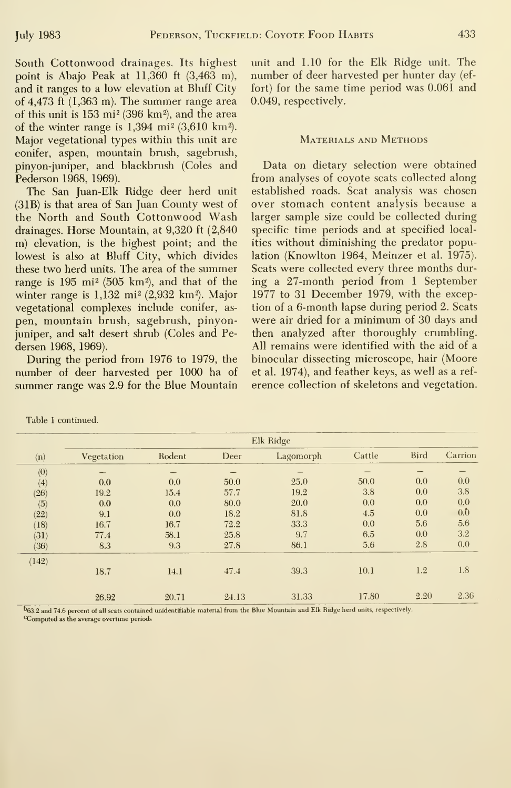South Cottonwood drainages. Its highest point is Abajo Peak at  $11,360$  ft  $(3,463 \text{ m})$ , and it ranges to a low elevation at Bluff City of 4,473 ft (1,363 m). The summer range area of this unit is  $153 \text{ mi}^2$  (396 km<sup>2</sup>), and the area of the winter range is  $1,394$  mi<sup>2</sup> (3,610 km<sup>2</sup>). Major vegetational types within this unit are conifer, aspen, mountain brush, sagebrush, pinyon-jimiper, and blackbrush (Coles and Pederson 1968, 1969).

The San Juan-Elk Ridge deer herd unit (31B) is that area of San Juan County west of the North and South Cottonwood Wash drainages. Horse Mountain, at 9,320 ft (2,840 m) elevation, is the highest point; and the lowest is also at Bluff City, which divides these two herd units. The area of the summer range is  $195 \text{ mi}^2$  (505 km<sup>2</sup>), and that of the winter range is  $1,132$  mi<sup>2</sup> (2,932 km<sup>2</sup>). Major vegetational complexes include conifer, as pen, mountain brush, sagebrush, pinyonjuniper, and salt desert shrub (Coles and Pedersen 1968, 1969).

During the period from 1976 to 1979, the number of deer harvested per 1000 ha of summer range was 2.9 for the Blue Mountain unit and 1.10 for the Elk Ridge unit. The number of deer harvested per hunter day (ef fort) for the same time period was 0.061 and 0.049, respectively.

### Materials and Methods

Data on dietary selection were obtained from analyses of coyote scats collected along established roads. Scat analysis was chosen over stomach content analysis because a larger sample size could be collected during specific time periods and at specified localities without diminishing the predator population (Knowlton 1964, Meinzer et al. 1975). Scats were collected every three months during a 27-month period from <sup>1</sup> September 1977 to 31 December 1979, with the exception of a 6-month lapse during period 2. Scats were air dried for <sup>a</sup> minimum of 30 days and then analyzed after thoroughly crumbling. All remains were identified with the aid of a binocular dissecting microscope, hair (Moore et al. 1974), and feather keys, as well as a ref erence collection of skeletons and vegetation.

|                     | Elk Ridge  |        |       |           |        |             |                  |  |
|---------------------|------------|--------|-------|-----------|--------|-------------|------------------|--|
| (n)                 | Vegetation | Rodent | Deer  | Lagomorph | Cattle | <b>Bird</b> | Carrion          |  |
| $\langle 0 \rangle$ |            |        |       |           |        |             |                  |  |
| (4)                 | 0.0        | 0.0    | 50.0  | 25.0      | 50.0   | 0.0         | 0.0              |  |
| (26)                | 19.2       | 15.4   | 57.7  | 19.2      | 3.8    | 0.0         | 3.8              |  |
| (5)                 | 0.0        | 0.0    | 80.0  | 20.0      | 0.0    | 0.0         | 0.0              |  |
| (22)                | 9.1        | 0.0    | 18.2  | 81.8      | 4.5    | 0.0         | $0.\overline{0}$ |  |
| (18)                | 16.7       | 16.7   | 72.2  | 33.3      | 0.0    | 5.6         | 5.6              |  |
| (31)                | 77.4       | 58.1   | 25.8  | 9.7       | 6.5    | 0.0         | 3.2              |  |
| (36)                | 8.3        | 9.3    | 27.8  | 86.1      | 5.6    | 2.8         | 0.0              |  |
| (142)               |            |        |       |           |        |             |                  |  |
|                     | 18.7       | 14.1   | 47.4  | 39.3      | 10.1   | 1.2         | 1.8              |  |
|                     | 26.92      | 20.71  | 24.13 | 31.33     | 17.80  | 2.20        | 2.36             |  |

Table <sup>1</sup> continued.

b63.2 and 74.6 percent of all scats contained unidentifiable material from the Blue Mountain and Elk Ridge herd units, respectively. <sup>c</sup>Computed as the average overtime periods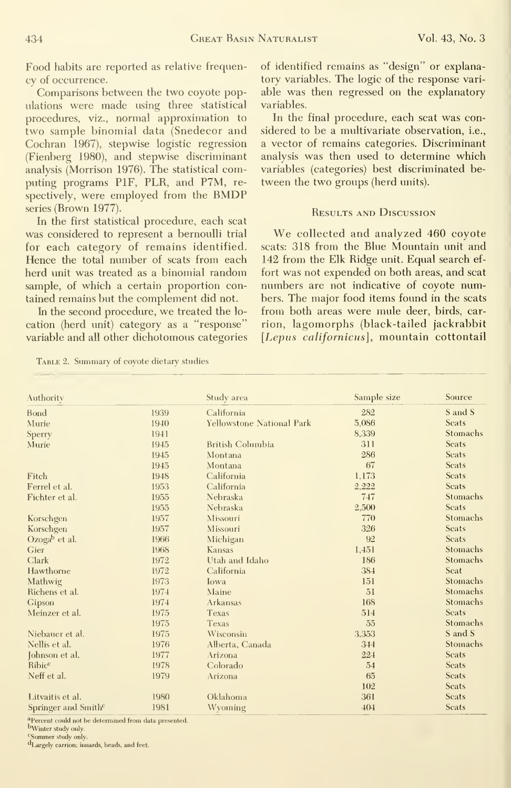Food habits are reported as relative frequen cy of occurrence.

Comparisons between the two coyote populations were made using three statistical procedures, viz., normal approximation to two sample binomial data (Snedecor and Cochran 1967), stepwise logistic regression (Fienberg 1980), and stepwise discriminant analysis (Morrison 1976). The statistical computing programs PIF, PLR, and P7M, re spectively, were employed from the BMDP series (Brown 1977).

In the first statistical procedure, each scat was considered to represent a bernoulli trial for each category of remains identified. Hence the total number of scats from each herd unit was treated as a binomial random sample, of which a certain proportion contained remains but the complement did not.

In the second procedure, we treated the lo cation (herd unit) category as a "response" variable and all other dichotomous categories

Table 2. Summary of coyote dietary studies

of identified remains as "design" or explanatory variables. The logic of the response vari able was then regressed on the explanatory variables.

In the final procedure, each scat was considered to be a multivariate observation, i.e., a vector of remains categories. Discriminant analysis was then used to determine which variables (categories) best discriminated be tween the two groups (herd units).

#### Results and Discussion

We collected and analyzed <sup>460</sup> coyote scats: 318 from the Blue Mountain unit and 142 from the Elk Ridge unit. Equal search ef fort was not expended on both areas, and scat numbers are not indicative of coyote numbers. The major food items found in the scats from both areas were mule deer, birds, car rion, lagomorphs (black-tailed jackrabbit [Lepus californicus], mountain cottontail

| Authority                       |      | Study area                       | Sample size | Source          |
|---------------------------------|------|----------------------------------|-------------|-----------------|
| Bond                            | 1939 | California                       | 282         | S and S         |
| Murie                           | 1940 | <b>Yellowstone National Park</b> | 5,086       | <b>Scats</b>    |
| Sperry                          | 1941 |                                  | 8,339       | Stomachs        |
| Murie                           | 1945 | <b>British Columbia</b>          | 311         | <b>Scats</b>    |
|                                 | 1945 | Montana                          | 286         | <b>Scats</b>    |
|                                 | 1945 | Montana                          | 67          | <b>Scats</b>    |
| Fitch                           | 1948 | California                       | 1,173       | <b>Scats</b>    |
| Ferrel et al.                   | 1953 | California                       | 2,222       | <b>Scats</b>    |
| Fichter et al.                  | 1955 | Nebraska                         | 747         | Stomachs        |
|                                 | 1955 | Nebraska                         | 2,500       | Scats           |
| Korschgen                       | 1957 | Missouri                         | 770         | Stomachs        |
| Korschgen                       | 1957 | Missouri                         | 326         | Scats           |
| $Ozogab$ et al.                 | 1966 | Michigan                         | 92          | <b>Scats</b>    |
| Gier                            | 1968 | Kansas                           | 1,451       | Stomachs        |
| Clark                           | 1972 | Utah and Idaho                   | 186         | Stomachs        |
| Hawthorne                       | 1972 | California                       | 384         | Scat            |
| Mathwig                         | 1973 | Iowa                             | 151         | Stomachs        |
| Richens et al.                  | 1974 | Maine                            | 51          | Stomachs        |
| Gipson                          | 1974 | Arkansas                         | 168         | Stomachs        |
| Meinzer et al.                  | 1975 | Texas                            | 514         | <b>Scats</b>    |
|                                 | 1975 | Texas                            | 55          | <b>Stomachs</b> |
| Niebauer et al.                 | 1975 | Wisconsin                        | 3,353       | S and S         |
| Nellis et al.                   | 1976 | Alberta, Canada                  | 344         | Stomachs        |
| Johnson et al.                  | 1977 | Arizona                          | 224         | <b>Scats</b>    |
| Ribicc                          | 1978 | Colorado                         | 54          | <b>Scats</b>    |
| Neff et al.                     | 1979 | Arizona                          | 65          | <b>Scats</b>    |
|                                 |      |                                  | 102         | <b>Scats</b>    |
| Litvaitis et al.                | 1980 | Oklahoma                         | 361         | <b>Scats</b>    |
| Springer and Smith <sup>e</sup> | 1981 | Wyoming                          | 404         | <b>Scats</b>    |

<sup>a</sup>Percent could not be determined from data presented.

bWinter study only.

Summer study only.

dLargely carrion; innards, heads, and feet.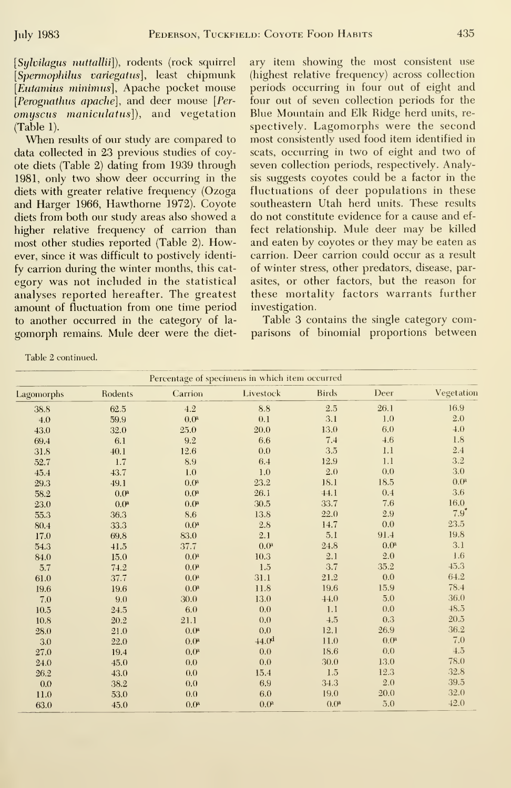[Sylvilagus nuttallii]), rodents (rock squirrel [Spermophilus variegatus], least chipmunk [Eutamius minimus], Apache pocket mouse [Perognathus apache], and deer mouse [Per $omuscus$  maniculatus]), and vegetation (Table 1).

When results of our study are compared to data collected in 23 previous studies of coyote diets (Table 2) dating from 1939 through 1981, only two show deer occurring in the diets with greater relative frequency (Ozoga and Harger 1966, Hawthorne 1972). Coyote diets from both our study areas also showed a higher relative frequency of carrion than most other studies reported (Table 2). However, since it was difficult to postively identify carrion during the winter months, this cat egory was not included in the statistical analyses reported hereafter. The greatest amount of fluctuation from one time period to another occurred in the category of la gomorph remains. Mule deer were the dietary item showing the most consistent use (highest relative frequency) across collection periods occurring in four out of eight and four out of seven collection periods for the Blue Mountain and Elk Ridge herd units, re spectively. Lagomorphs were the second most consistently used food item identified in scats, occurring in two of eight and two of seven collection periods, respectively. Analysis suggests coyotes could be a factor in the fluctuations of deer populations in these southeastern Utah herd imits. These results do not constitute evidence for a cause and ef fect relationship. Mule deer may be killed and eaten by coyotes or they may be eaten as carrion. Deer carrion could occur as a result of winter stress, other predators, disease, parasites, or other factors, but the reason for these mortality factors warrants further investigation.

Table 3 contains the single category comparisons of binomial proportions between

| Percentage of specimens in which item occurred |                  |                  |                   |                  |                  |                  |  |
|------------------------------------------------|------------------|------------------|-------------------|------------------|------------------|------------------|--|
| Lagomorphs                                     | Rodents          | Carrion          | Livestock         | <b>Birds</b>     | Deer             | Vegetation       |  |
| 38.8                                           | 62.5             | 4.2              | 8.8               | 2.5              | 26.1             | 16.9             |  |
| 4.0                                            | 59.9             | 0.0 <sup>a</sup> | 0.1               | 3.1              | 1.0              | 2.0              |  |
| 43.0                                           | 32.0             | 25.0             | 20.0              | 13.0             | 6.0              | 4.0              |  |
| 69.4                                           | 6.1              | 9.2              | 6.6               | 7.4              | 4.6              | 1.8              |  |
| 31.8                                           | 40.1             | 12.6             | 0.0               | 3.5              | 1.1              | 2.4              |  |
| 52.7                                           | 1.7              | 8.9              | 6.4               | 12.9             | 1.1              | 3.2              |  |
| 45.4                                           | 43.7             | 1.0              | 1.0               | 2.0              | 0.0              | 3.0              |  |
| 29.3                                           | 49.1             | 0.0 <sup>a</sup> | 23.2              | 18.1             | 18.5             | 0.0 <sup>a</sup> |  |
| 58.2                                           | 0.0 <sup>a</sup> | 0.0 <sup>a</sup> | 26.1              | 44.1             | 0.4              | 3.6              |  |
| 23.0                                           | 0.0 <sup>a</sup> | 0.0 <sup>a</sup> | 30.5              | 33.7             | 7.6              | 16.0             |  |
| 55.3                                           | 36.3             | 8.6              | 13.8              | 22.0             | 2.9              | $7.9^{\circ}$    |  |
| 80.4                                           | 33.3             | 0.0 <sup>a</sup> | 2.8               | 14.7             | 0.0              | 23.5             |  |
| 17.0                                           | 69.8             | 83.0             | 2.1               | 5.1              | 91.4             | 19.8             |  |
| 54.3                                           | 41.5             | 37.7             | 0.0 <sup>a</sup>  | 24.8             | 0.0 <sup>a</sup> | 3.1              |  |
| 84.0                                           | 15.0             | 0.0 <sup>8</sup> | 10.3              | 2.1              | 2.0              | 1.6              |  |
| 5.7                                            | 74.2             | 0.0 <sup>a</sup> | 1.5               | 3.7              | 35.2             | 45.3             |  |
| 61.0                                           | 37.7             | 0.0 <sup>a</sup> | 31.1              | 21.2             | 0.0              | 64.2             |  |
| 19.6                                           | 19.6             | 0.0 <sup>a</sup> | 11.8              | 19.6             | 15.9             | 78.4             |  |
| 7.0                                            | 9.0              | 30.0             | 13.0              | 44.0             | 5.0              | 36.0             |  |
| 10.5                                           | 24.5             | 6.0              | 0.0               | 1.1              | 0.0              | 48.5             |  |
| 10.8                                           | 20.2             | 21.1             | 0.0               | 4.5              | 0.3              | 20.5             |  |
| 28.0                                           | 21.0             | 0.0 <sup>a</sup> | 0.0               | 12.1             | 26.9             | 36.2             |  |
| 3.0                                            | 22.0             | 0.0 <sup>a</sup> | 44.0 <sup>d</sup> | 11.0             | 0.0 <sup>a</sup> | 7.0              |  |
| 27.0                                           | 19.4             | 0.0 <sup>a</sup> | 0.0               | 18.6             | 0.0              | 4.5              |  |
| 24.0                                           | 45.0             | 0.0              | 0.0               | 30.0             | 13.0             | 78.0             |  |
| 26.2                                           | 43.0             | 0.0              | 15.4              | 1.5              | 12.3             | 32.8             |  |
| 0.0                                            | 38.2             | 0.0              | 6.9               | 34.3             | 2.0              | 39.5             |  |
| 11.0                                           | 53.0             | 0.0              | 6.0               | 19.0             | 20.0             | 32.0             |  |
| 63.0                                           | 45.0             | 0.0 <sup>a</sup> | 0.0 <sup>a</sup>  | 0.0 <sup>a</sup> | 5.0              | 42.0             |  |

Table 2 continued.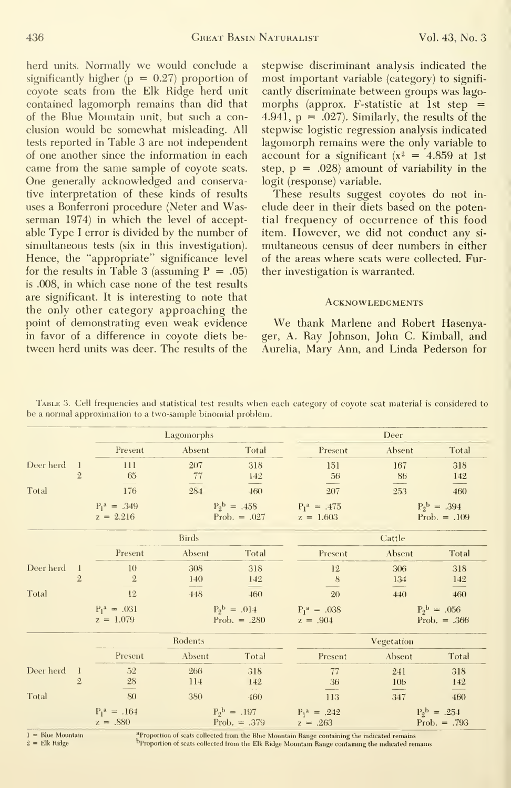herd units. Normally we would conclude <sup>a</sup> significantly higher  $(p = 0.27)$  proportion of coyote scats from the Elk Ridge herd unit contained lagomorph remains than did that of the Blue Mountain unit, but such a conclusion would be somewhat misleading. All tests reported in Table 3 are not independent of one another since the information in each came from the same sample of coyote scats. One generally acknowledged and conservative interpretation of these kinds of results uses a Bonferroni procedure (Neter and Wasserman 1974) in which the level of acceptable Type <sup>I</sup> error is divided by the number of simultaneous tests (six in this investigation). Hence, the "appropriate" significance level for the results in Table 3 (assuming  $P = .05$ ) is .008, in which case none of the test results are significant. It is interesting to note that the only other category approaching the point of demonstrating even weak evidence in favor of a difference in coyote diets be tween herd units was deer. The results of the

stepwise discriminant analysis indicated the most important variable (category) to significantly discriminate between groups was lagomorphs (approx. F-statistic at 1st step  $=$ 4.941,  $p = .027$ ). Similarly, the results of the stepwise logistic regression analysis indicated lagomorph remains were the only variable to account for a significant  $(x^2 = 4.859$  at 1st step,  $p = .028$ ) amount of variability in the logit (response) variable.

These results suggest coyotes do not in clude deer in their diets based on the potential frequency of occurrence of this food item. However, we did not conduct any si multaneous census of deer numbers in either of the areas where scats were collected. Further investigation is warranted.

#### **ACKNOWLEDGMENTS**

We thank Marlene and Robert Hasenyager, A. Ray Johnson, John C. Kimball, and Aurelia, Mary Ann, and Linda Pederson for

|                   |                                | Lagomorphs                    |                                  |                                             | Deer                                                                                         |            |                                             |  |
|-------------------|--------------------------------|-------------------------------|----------------------------------|---------------------------------------------|----------------------------------------------------------------------------------------------|------------|---------------------------------------------|--|
|                   |                                | Present                       | Absent                           | Total                                       | Present                                                                                      | Absent     | Total                                       |  |
| Deer herd         | 1<br>$\overline{2}$            | 111<br>65                     | 207<br>77                        | 318<br>142                                  | 151<br>56                                                                                    | 167<br>86  | 318<br>142                                  |  |
| Total             |                                | 176                           | 284                              | 460                                         | 207                                                                                          | 253        | 460                                         |  |
|                   |                                | $P_1^a = .349$<br>$z = 2.216$ |                                  | $P_2^{\text{b}} = .458$<br>Prob. $= .027$   | $P_1^a = .475$<br>$z = 1.603$                                                                |            | $P_2^{\mathrm{b}} = .394$<br>Prob. $= .109$ |  |
|                   |                                |                               | <b>Birds</b>                     |                                             |                                                                                              | Cattle     |                                             |  |
|                   |                                | Present                       | Absent                           | Total                                       | Present                                                                                      | Absent     | Total                                       |  |
| Deer herd         | $\perp$<br>$\overline{2}$      | 10<br>$\overline{2}$          | 308<br>140                       | 318<br>142                                  | 12<br>8                                                                                      | 306<br>134 | 318<br>142                                  |  |
| Total             |                                | 12                            | 448                              | 460                                         | 20                                                                                           | 440        | 460                                         |  |
|                   |                                | $P_1^a = .031$<br>$z = 1.079$ |                                  | $P_2^{\mathrm{b}} = .014$<br>Prob. $= .280$ | $P_1^a = .038$<br>$z = .904$                                                                 |            | $P_2^b = .056$<br>Prob. $= .366$            |  |
|                   |                                | Rodents                       |                                  |                                             | Vegetation                                                                                   |            |                                             |  |
|                   |                                | Present                       | Absent                           | Total                                       | Present                                                                                      | Absent     | Total                                       |  |
| Deer herd         | $\mathbf{1}$<br>$\overline{2}$ | $52\,$<br>28                  | 266<br>$\frac{114}{\phantom{1}}$ | 318<br>142                                  | 77<br>36                                                                                     | 241<br>106 | 318<br>142                                  |  |
| Total             |                                | 80                            | 380                              | 460                                         | 113                                                                                          | 347        | 460                                         |  |
|                   |                                | $P_1^a = .164$<br>$z = .880$  |                                  | $P_2^b = .197$<br>Prob. $= .379$            | $P_1^a = .242$<br>$z = .263$                                                                 |            | $P_2^{\mathrm{b}} = .254$<br>Prob. $= .793$ |  |
| $=$ Blue Mountain |                                |                               |                                  |                                             | aProportion of scats collected from the Blue Mountain Range containing the indicated remains |            |                                             |  |

TABLE 3. Cell frequencies and statistical test results when each category of covote scat material is considered to be a normal approximation to a two-sample binomial problem.

Elk Ridge

Proportion of scats collected from the Elk Ridge Mountain Range containing the indicated remains